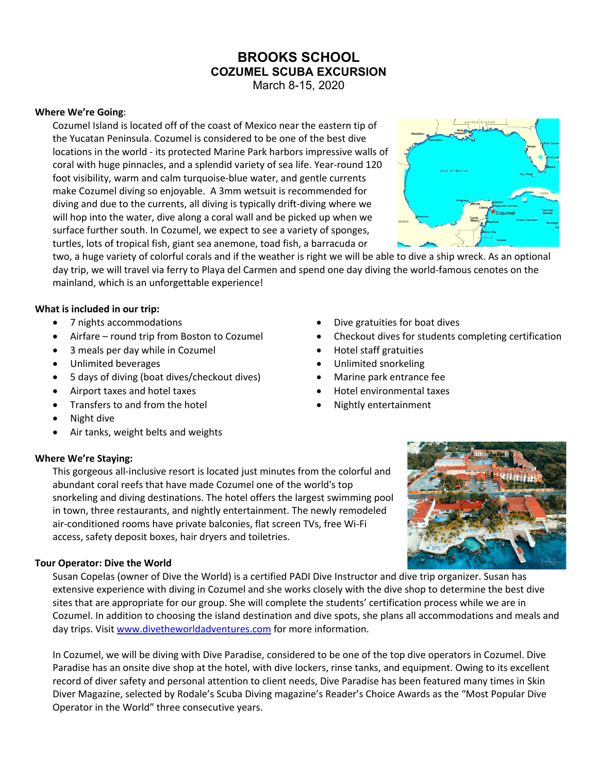# **BROOKS SCHOOL COZUMEL SCUBA EXCURSION**

March 8-15, 2020

## **Where We're Going**:

Cozumel Island is located off of the coast of Mexico near the eastern tip of the Yucatan Peninsula. Cozumel is considered to be one of the best dive locations in the world - its protected Marine Park harbors impressive walls of coral with huge pinnacles, and a splendid variety of sea life. Year-round 120 foot visibility, warm and calm turquoise-blue water, and gentle currents make Cozumel diving so enjoyable. A 3mm wetsuit is recommended for diving and due to the currents, all diving is typically drift-diving where we will hop into the water, dive along a coral wall and be picked up when we surface further south. In Cozumel, we expect to see a variety of sponges, turtles, lots of tropical fish, giant sea anemone, toad fish, a barracuda or



two, a huge variety of colorful corals and if the weather is right we will be able to dive a ship wreck. As an optional day trip, we will travel via ferry to Playa del Carmen and spend one day diving the world-famous cenotes on the mainland, which is an unforgettable experience!

Dive gratuities for boat dives

• Hotel staff gratuities • Unlimited snorkeling • Marine park entrance fee • Hotel environmental taxes • Nightly entertainment

• Checkout dives for students completing certification

## **What is included in our trip:**

- 7 nights accommodations
- Airfare round trip from Boston to Cozumel
- 3 meals per day while in Cozumel
- Unlimited beverages
- 5 days of diving (boat dives/checkout dives)
- Airport taxes and hotel taxes
- Transfers to and from the hotel
- Night dive
- Air tanks, weight belts and weights

## **Where We're Staying:**

This gorgeous all-inclusive resort is located just minutes from the colorful and abundant coral reefs that have made Cozumel one of the world's top snorkeling and diving destinations. The hotel offers the largest swimming pool in town, three restaurants, and nightly entertainment. The newly remodeled air-conditioned rooms have private balconies, flat screen TVs, free Wi-Fi access, safety deposit boxes, hair dryers and toiletries.

## **Tour Operator: Dive the World**

Susan Copelas (owner of Dive the World) is a certified PADI Dive Instructor and dive trip organizer. Susan has extensive experience with diving in Cozumel and she works closely with the dive shop to determine the best dive sites that are appropriate for our group. She will complete the students' certification process while we are in Cozumel. In addition to choosing the island destination and dive spots, she plans all accommodations and meals and day trips. Visit www.divetheworldadventures.com for more information.

In Cozumel, we will be diving with Dive Paradise, considered to be one of the top dive operators in Cozumel. Dive Paradise has an onsite dive shop at the hotel, with dive lockers, rinse tanks, and equipment. Owing to its excellent record of diver safety and personal attention to client needs, Dive Paradise has been featured many times in Skin Diver Magazine, selected by Rodale's Scuba Diving magazine's Reader's Choice Awards as the "Most Popular Dive Operator in the World" three consecutive years.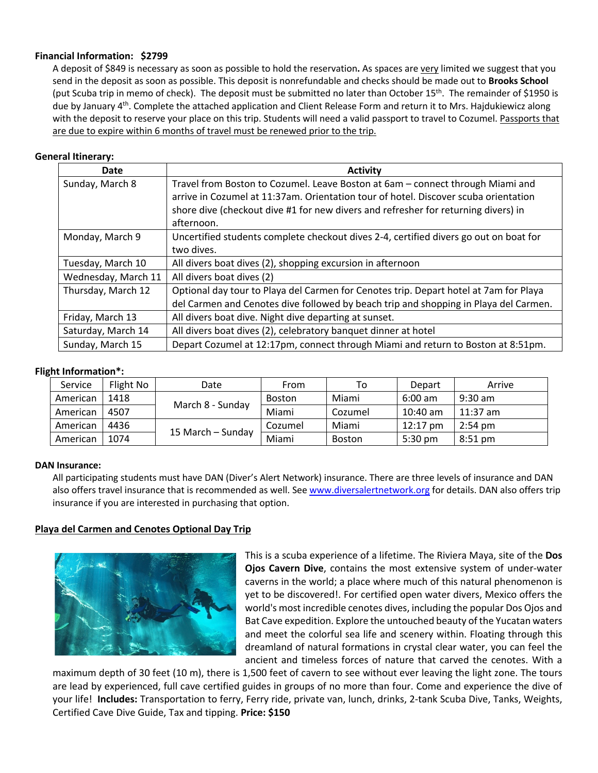## **Financial Information: \$2799**

A deposit of \$849 is necessary as soon as possible to hold the reservation**.** As spaces are very limited we suggest that you send in the deposit as soon as possible. This deposit is nonrefundable and checks should be made out to **Brooks School** (put Scuba trip in memo of check). The deposit must be submitted no later than October 15<sup>th</sup>. The remainder of \$1950 is due by January 4<sup>th</sup>. Complete the attached application and Client Release Form and return it to Mrs. Hajdukiewicz along with the deposit to reserve your place on this trip. Students will need a valid passport to travel to Cozumel. Passports that are due to expire within 6 months of travel must be renewed prior to the trip.

## **General Itinerary:**

| Date                | <b>Activity</b>                                                                       |
|---------------------|---------------------------------------------------------------------------------------|
| Sunday, March 8     | Travel from Boston to Cozumel. Leave Boston at 6am - connect through Miami and        |
|                     | arrive in Cozumel at 11:37am. Orientation tour of hotel. Discover scuba orientation   |
|                     | shore dive (checkout dive #1 for new divers and refresher for returning divers) in    |
|                     | afternoon.                                                                            |
| Monday, March 9     | Uncertified students complete checkout dives 2-4, certified divers go out on boat for |
|                     | two dives.                                                                            |
| Tuesday, March 10   | All divers boat dives (2), shopping excursion in afternoon                            |
| Wednesday, March 11 | All divers boat dives (2)                                                             |
| Thursday, March 12  | Optional day tour to Playa del Carmen for Cenotes trip. Depart hotel at 7am for Playa |
|                     | del Carmen and Cenotes dive followed by beach trip and shopping in Playa del Carmen.  |
| Friday, March 13    | All divers boat dive. Night dive departing at sunset.                                 |
| Saturday, March 14  | All divers boat dives (2), celebratory banquet dinner at hotel                        |
| Sunday, March 15    | Depart Cozumel at 12:17pm, connect through Miami and return to Boston at 8:51pm.      |

#### **Flight Information\*:**

| Service  | Flight No | Date              | From          | To            | Depart             | Arrive            |
|----------|-----------|-------------------|---------------|---------------|--------------------|-------------------|
| American | 1418      | March 8 - Sunday  | <b>Boston</b> | Miami         | $6:00 \text{ am}$  | $9:30$ am         |
| American | 4507      |                   | Miami         | Cozumel       | $10:40$ am         | $11:37$ am        |
| American | 4436      | 15 March – Sunday | Cozumel       | Miami         | $12:17 \text{ pm}$ | $2:54 \text{ pm}$ |
| American | 1074      |                   | Miami         | <b>Boston</b> | $5:30 \text{ pm}$  | $8:51$ pm         |

## **DAN Insurance:**

All participating students must have DAN (Diver's Alert Network) insurance. There are three levels of insurance and DAN also offers travel insurance that is recommended as well. See www.diversalertnetwork.org for details. DAN also offers trip insurance if you are interested in purchasing that option.

## **Playa del Carmen and Cenotes Optional Day Trip**



This is a scuba experience of a lifetime. The Riviera Maya, site of the **Dos Ojos Cavern Dive**, contains the most extensive system of under-water caverns in the world; a place where much of this natural phenomenon is yet to be discovered!. For certified open water divers, Mexico offers the world's most incredible cenotes dives, including the popular Dos Ojos and Bat Cave expedition. Explore the untouched beauty of the Yucatan waters and meet the colorful sea life and scenery within. Floating through this dreamland of natural formations in crystal clear water, you can feel the ancient and timeless forces of nature that carved the cenotes. With a

maximum depth of 30 feet (10 m), there is 1,500 feet of cavern to see without ever leaving the light zone. The tours are lead by experienced, full cave certified guides in groups of no more than four. Come and experience the dive of your life! **Includes:** Transportation to ferry, Ferry ride, private van, lunch, drinks, 2-tank Scuba Dive, Tanks, Weights, Certified Cave Dive Guide, Tax and tipping. **Price: \$150**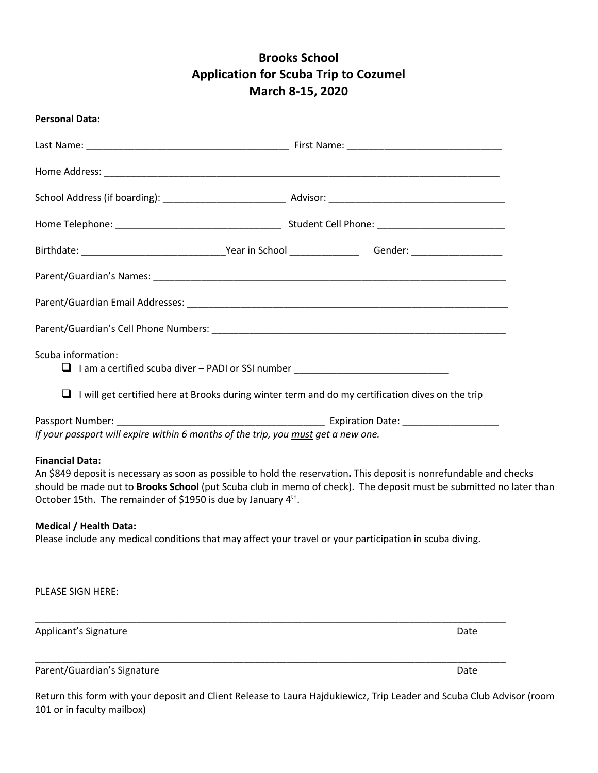## **Brooks School Application for Scuba Trip to Cozumel March 8-15, 2020**

| <b>Personal Data:</b>                                                                                                                                                                                                                                       |                                                                                                                    |
|-------------------------------------------------------------------------------------------------------------------------------------------------------------------------------------------------------------------------------------------------------------|--------------------------------------------------------------------------------------------------------------------|
|                                                                                                                                                                                                                                                             |                                                                                                                    |
|                                                                                                                                                                                                                                                             |                                                                                                                    |
|                                                                                                                                                                                                                                                             |                                                                                                                    |
|                                                                                                                                                                                                                                                             |                                                                                                                    |
|                                                                                                                                                                                                                                                             |                                                                                                                    |
|                                                                                                                                                                                                                                                             |                                                                                                                    |
|                                                                                                                                                                                                                                                             |                                                                                                                    |
|                                                                                                                                                                                                                                                             |                                                                                                                    |
| Scuba information:<br>1 I am a certified scuba diver - PADI or SSI number ____________________________                                                                                                                                                      |                                                                                                                    |
| I will get certified here at Brooks during winter term and do my certification dives on the trip<br>$\Box$                                                                                                                                                  |                                                                                                                    |
|                                                                                                                                                                                                                                                             |                                                                                                                    |
| If your passport will expire within 6 months of the trip, you must get a new one.                                                                                                                                                                           |                                                                                                                    |
| <b>Financial Data:</b><br>An \$849 deposit is necessary as soon as possible to hold the reservation. This deposit is nonrefundable and checks<br>October 15th. The remainder of \$1950 is due by January 4 <sup>th</sup> .<br><b>Medical / Health Data:</b> | should be made out to Brooks School (put Scuba club in memo of check). The deposit must be submitted no later than |
| Please include any medical conditions that may affect your travel or your participation in scuba diving.                                                                                                                                                    |                                                                                                                    |
| PLEASE SIGN HERE:                                                                                                                                                                                                                                           |                                                                                                                    |
| Applicant's Signature                                                                                                                                                                                                                                       | Date                                                                                                               |
| Parent/Guardian's Signature                                                                                                                                                                                                                                 | Date                                                                                                               |
|                                                                                                                                                                                                                                                             |                                                                                                                    |

Return this form with your deposit and Client Release to Laura Hajdukiewicz, Trip Leader and Scuba Club Advisor (room 101 or in faculty mailbox)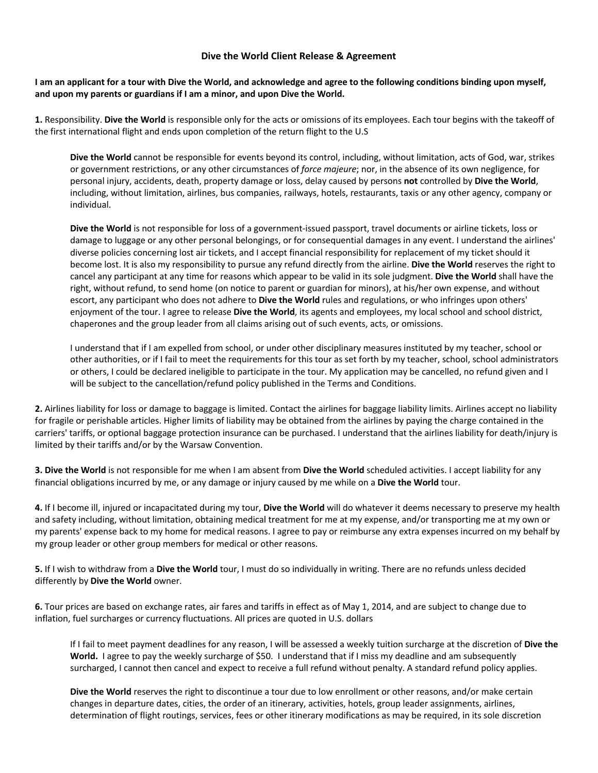#### **Dive the World Client Release & Agreement**

#### **I am an applicant for a tour with Dive the World, and acknowledge and agree to the following conditions binding upon myself, and upon my parents or guardians if I am a minor, and upon Dive the World.**

**1.** Responsibility. **Dive the World** is responsible only for the acts or omissions of its employees. Each tour begins with the takeoff of the first international flight and ends upon completion of the return flight to the U.S

**Dive the World** cannot be responsible for events beyond its control, including, without limitation, acts of God, war, strikes or government restrictions, or any other circumstances of *force majeure*; nor, in the absence of its own negligence, for personal injury, accidents, death, property damage or loss, delay caused by persons **not** controlled by **Dive the World**, including, without limitation, airlines, bus companies, railways, hotels, restaurants, taxis or any other agency, company or individual.

**Dive the World** is not responsible for loss of a government-issued passport, travel documents or airline tickets, loss or damage to luggage or any other personal belongings, or for consequential damages in any event. I understand the airlines' diverse policies concerning lost air tickets, and I accept financial responsibility for replacement of my ticket should it become lost. It is also my responsibility to pursue any refund directly from the airline. **Dive the World** reserves the right to cancel any participant at any time for reasons which appear to be valid in its sole judgment. **Dive the World** shall have the right, without refund, to send home (on notice to parent or guardian for minors), at his/her own expense, and without escort, any participant who does not adhere to **Dive the World** rules and regulations, or who infringes upon others' enjoyment of the tour. I agree to release **Dive the World**, its agents and employees, my local school and school district, chaperones and the group leader from all claims arising out of such events, acts, or omissions.

I understand that if I am expelled from school, or under other disciplinary measures instituted by my teacher, school or other authorities, or if I fail to meet the requirements for this tour as set forth by my teacher, school, school administrators or others, I could be declared ineligible to participate in the tour. My application may be cancelled, no refund given and I will be subject to the cancellation/refund policy published in the Terms and Conditions.

**2.** Airlines liability for loss or damage to baggage is limited. Contact the airlines for baggage liability limits. Airlines accept no liability for fragile or perishable articles. Higher limits of liability may be obtained from the airlines by paying the charge contained in the carriers' tariffs, or optional baggage protection insurance can be purchased. I understand that the airlines liability for death/injury is limited by their tariffs and/or by the Warsaw Convention.

**3. Dive the World** is not responsible for me when I am absent from **Dive the World** scheduled activities. I accept liability for any financial obligations incurred by me, or any damage or injury caused by me while on a **Dive the World** tour.

**4.** If I become ill, injured or incapacitated during my tour, **Dive the World** will do whatever it deems necessary to preserve my health and safety including, without limitation, obtaining medical treatment for me at my expense, and/or transporting me at my own or my parents' expense back to my home for medical reasons. I agree to pay or reimburse any extra expenses incurred on my behalf by my group leader or other group members for medical or other reasons.

**5.** If I wish to withdraw from a **Dive the World** tour, I must do so individually in writing. There are no refunds unless decided differently by **Dive the World** owner.

**6.** Tour prices are based on exchange rates, air fares and tariffs in effect as of May 1, 2014, and are subject to change due to inflation, fuel surcharges or currency fluctuations. All prices are quoted in U.S. dollars

If I fail to meet payment deadlines for any reason, I will be assessed a weekly tuition surcharge at the discretion of **Dive the World.** I agree to pay the weekly surcharge of \$50. I understand that if I miss my deadline and am subsequently surcharged, I cannot then cancel and expect to receive a full refund without penalty. A standard refund policy applies.

**Dive the World** reserves the right to discontinue a tour due to low enrollment or other reasons, and/or make certain changes in departure dates, cities, the order of an itinerary, activities, hotels, group leader assignments, airlines, determination of flight routings, services, fees or other itinerary modifications as may be required, in its sole discretion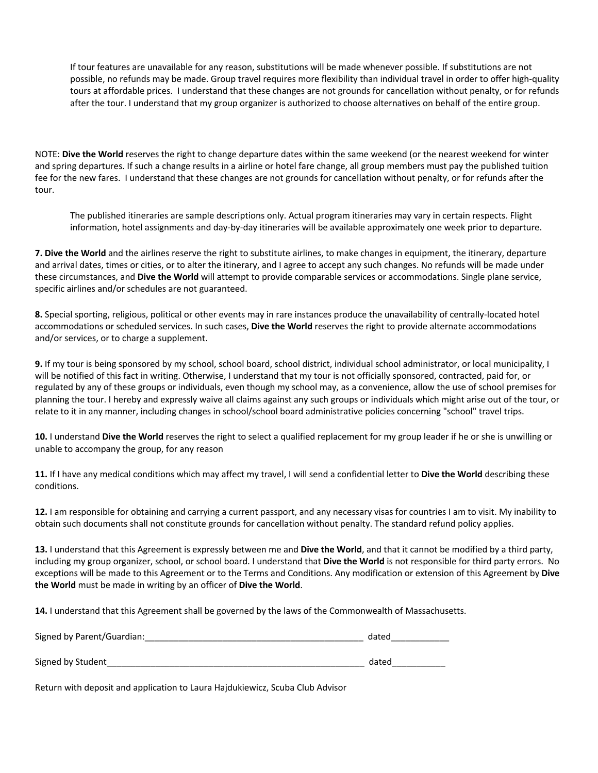If tour features are unavailable for any reason, substitutions will be made whenever possible. If substitutions are not possible, no refunds may be made. Group travel requires more flexibility than individual travel in order to offer high-quality tours at affordable prices. I understand that these changes are not grounds for cancellation without penalty, or for refunds after the tour. I understand that my group organizer is authorized to choose alternatives on behalf of the entire group.

NOTE: **Dive the World** reserves the right to change departure dates within the same weekend (or the nearest weekend for winter and spring departures. If such a change results in a airline or hotel fare change, all group members must pay the published tuition fee for the new fares. I understand that these changes are not grounds for cancellation without penalty, or for refunds after the tour.

The published itineraries are sample descriptions only. Actual program itineraries may vary in certain respects. Flight information, hotel assignments and day-by-day itineraries will be available approximately one week prior to departure.

**7. Dive the World** and the airlines reserve the right to substitute airlines, to make changes in equipment, the itinerary, departure and arrival dates, times or cities, or to alter the itinerary, and I agree to accept any such changes. No refunds will be made under these circumstances, and **Dive the World** will attempt to provide comparable services or accommodations. Single plane service, specific airlines and/or schedules are not guaranteed.

**8.** Special sporting, religious, political or other events may in rare instances produce the unavailability of centrally-located hotel accommodations or scheduled services. In such cases, **Dive the World** reserves the right to provide alternate accommodations and/or services, or to charge a supplement.

**9.** If my tour is being sponsored by my school, school board, school district, individual school administrator, or local municipality, I will be notified of this fact in writing. Otherwise, I understand that my tour is not officially sponsored, contracted, paid for, or regulated by any of these groups or individuals, even though my school may, as a convenience, allow the use of school premises for planning the tour. I hereby and expressly waive all claims against any such groups or individuals which might arise out of the tour, or relate to it in any manner, including changes in school/school board administrative policies concerning "school" travel trips.

**10.** I understand **Dive the World** reserves the right to select a qualified replacement for my group leader if he or she is unwilling or unable to accompany the group, for any reason

**11.** If I have any medical conditions which may affect my travel, I will send a confidential letter to **Dive the World** describing these conditions.

**12.** I am responsible for obtaining and carrying a current passport, and any necessary visas for countries I am to visit. My inability to obtain such documents shall not constitute grounds for cancellation without penalty. The standard refund policy applies.

**13.** I understand that this Agreement is expressly between me and **Dive the World**, and that it cannot be modified by a third party, including my group organizer, school, or school board. I understand that **Dive the World** is not responsible for third party errors. No exceptions will be made to this Agreement or to the Terms and Conditions. Any modification or extension of this Agreement by **Dive the World** must be made in writing by an officer of **Dive the World**.

**14.** I understand that this Agreement shall be governed by the laws of the Commonwealth of Massachusetts.

| Signed by Parent/Guardian: | dated |
|----------------------------|-------|
|                            |       |
| Signed by Student          | dated |

Return with deposit and application to Laura Hajdukiewicz, Scuba Club Advisor